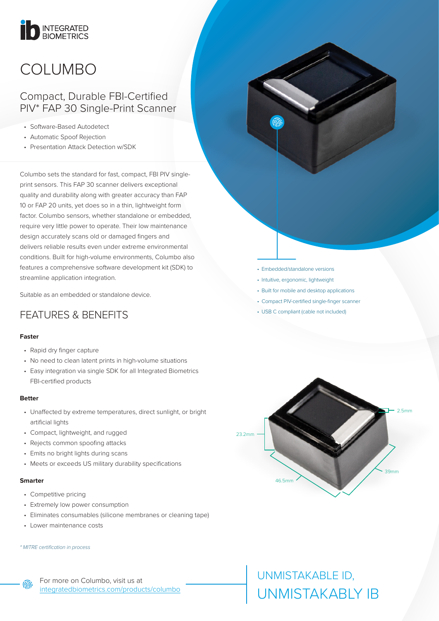# INTEGRATED

## COLUMBO

### Compact, Durable FBI-Certified PIV\* FAP 30 Single-Print Scanner

- Software-Based Autodetect
- Automatic Spoof Rejection
- Presentation Attack Detection w/SDK

Columbo sets the standard for fast, compact, FBI PIV singleprint sensors. This FAP 30 scanner delivers exceptional quality and durability along with greater accuracy than FAP 10 or FAP 20 units, yet does so in a thin, lightweight form factor. Columbo sensors, whether standalone or embedded, require very little power to operate. Their low maintenance design accurately scans old or damaged fingers and delivers reliable results even under extreme environmental conditions. Built for high-volume environments, Columbo also features a comprehensive software development kit (SDK) to streamline application integration.

Suitable as an embedded or standalone device.

## FEATURES & BENEFITS

### **Faster**

- Rapid dry finger capture
- No need to clean latent prints in high-volume situations
- Easy integration via single SDK for all Integrated Biometrics FBI-certified products

### **Better**

- Unaffected by extreme temperatures, direct sunlight, or bright artificial lights
- Compact, lightweight, and rugged
- Rejects common spoofing attacks
- Emits no bright lights during scans
- Meets or exceeds US military durability specifications

### **Smarter**

⋒

- Competitive pricing
- Extremely low power consumption
- Eliminates consumables (silicone membranes or cleaning tape)
- Lower maintenance costs

#### *\* MITRE certification in process*

For more on Columbo, visit us at [integratedbiometrics.com/products/](https://integratedbiometrics.com/products/fbi-certified-fingerprint-scanners/columbo)columbo

- Embedded/standalone versions
- Intuitive, ergonomic, lightweight
- Built for mobile and desktop applications
- Compact PIV-certified single-finger scanner
- USB C compliant (cable not included)



## UNMISTAKABLE ID, UNMISTAKABLY IB